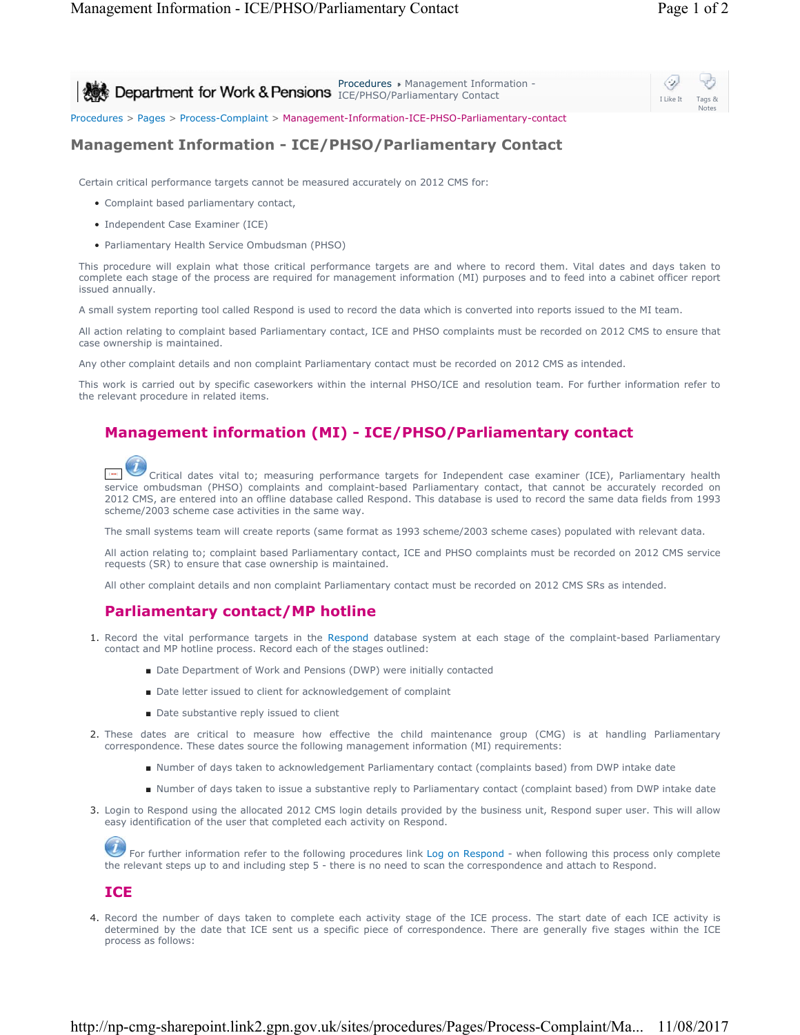| Procedures > Management Information -<br>Department for Work & Pensions <b>Procedures</b> Management Informal | I Like It | Tags &<br><b>Notes</b> |
|---------------------------------------------------------------------------------------------------------------|-----------|------------------------|
| Procedures > Pages > Process-Complaint > Management-Information-ICE-PHSO-Parliamentary-contact                |           |                        |

## **Management Information - ICE/PHSO/Parliamentary Contact**

Certain critical performance targets cannot be measured accurately on 2012 CMS for:

- Complaint based parliamentary contact,
- Independent Case Examiner (ICE)
- Parliamentary Health Service Ombudsman (PHSO)

This procedure will explain what those critical performance targets are and where to record them. Vital dates and days taken to complete each stage of the process are required for management information (MI) purposes and to feed into a cabinet officer report issued annually.

A small system reporting tool called Respond is used to record the data which is converted into reports issued to the MI team.

All action relating to complaint based Parliamentary contact, ICE and PHSO complaints must be recorded on 2012 CMS to ensure that case ownership is maintained.

Any other complaint details and non complaint Parliamentary contact must be recorded on 2012 CMS as intended.

This work is carried out by specific caseworkers within the internal PHSO/ICE and resolution team. For further information refer to the relevant procedure in related items.

## **Management information (MI) - ICE/PHSO/Parliamentary contact**

Critical dates vital to; measuring performance targets for Independent case examiner (ICE), Parliamentary health service ombudsman (PHSO) complaints and complaint-based Parliamentary contact, that cannot be accurately recorded on 2012 CMS, are entered into an offline database called Respond. This database is used to record the same data fields from 1993 scheme/2003 scheme case activities in the same way.

The small systems team will create reports (same format as 1993 scheme/2003 scheme cases) populated with relevant data.

All action relating to; complaint based Parliamentary contact, ICE and PHSO complaints must be recorded on 2012 CMS service requests (SR) to ensure that case ownership is maintained.

All other complaint details and non complaint Parliamentary contact must be recorded on 2012 CMS SRs as intended.

## **Parliamentary contact/MP hotline**

- 1. Record the vital performance targets in the Respond database system at each stage of the complaint-based Parliamentary contact and MP hotline process. Record each of the stages outlined:
	- Date Department of Work and Pensions (DWP) were initially contacted
	- Date letter issued to client for acknowledgement of complaint
	- Date substantive reply issued to client
- 2. These dates are critical to measure how effective the child maintenance group (CMG) is at handling Parliamentary correspondence. These dates source the following management information (MI) requirements:
	- Number of days taken to acknowledgement Parliamentary contact (complaints based) from DWP intake date
	- Number of days taken to issue a substantive reply to Parliamentary contact (complaint based) from DWP intake date
- 3. Login to Respond using the allocated 2012 CMS login details provided by the business unit, Respond super user. This will allow easy identification of the user that completed each activity on Respond.

For further information refer to the following procedures link Log on Respond - when following this process only complete the relevant steps up to and including step 5 - there is no need to scan the correspondence and attach to Respond.

## **ICE**

4. Record the number of days taken to complete each activity stage of the ICE process. The start date of each ICE activity is determined by the date that ICE sent us a specific piece of correspondence. There are generally five stages within the ICE process as follows: